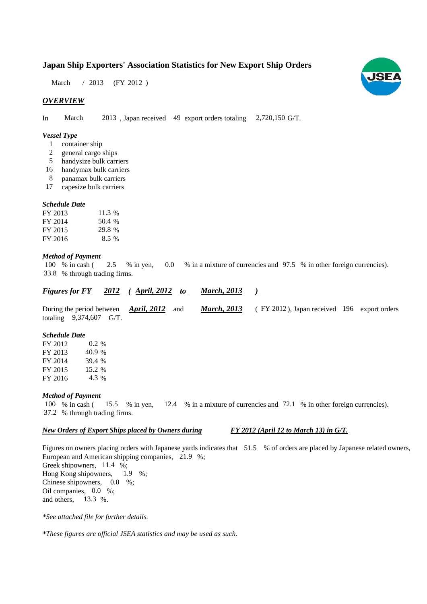# **Japan Ship Exporters' Association Statistics for New Export Ship Orders**

March / 2013 (FY 2012)

# *OVERVIEW*

In March 2013, Japan received 49 export orders totaling 2,720,150 G/T. 2,720,150 G/T.

### *Vessel Type*

- container ship 1
- general cargo ships 2
- handysize bulk carriers 5
- handymax bulk carriers 16
- panamax bulk carriers 8
- capesize bulk carriers 17

### *Schedule Date*

| FY 2013 | 11.3 %  |
|---------|---------|
| FY 2014 | 50.4 %  |
| FY 2015 | 29.8 %  |
| FY 2016 | $8.5\%$ |

#### *Method of Payment*

100 % in cash (2.5 % in yen, 0.0 % in a mixture of currencies and 97.5 % in other foreign currencies). % through trading firms. 33.8 0.0

#### *<u>Figures for FY 2012 (April, 2012 to March, 2013 )*</u> *March, 2013*

During the period between *April, 2012* and *March, 2013* (FY 2012), Japan received 196 export orders totaling  $9,374,607$  G/T. *March, 2013 April, 2012*

### *Schedule Date*

FY 2012 FY 2013 FY 2014 FY 2015 FY 2016 39.4 % 4.3 0.2 % 15.2 % 40.9 %

#### *Method of Payment*

100 % in cash (15.5 % in yen, 12.4 % in a mixture of currencies and 72.1 % in other foreign currencies). % through trading firms. 37.2 15.5 % in yen,

# *New Orders of Export Ships placed by Owners during*

*FY 2012 (April 12 to March 13) in G/T.*

Figures on owners placing orders with Japanese yards indicates that 51.5 % of orders are placed by Japanese related owners, European and American shipping companies, 21.9 %; Greek shipowners, 11.4 %; Hong Kong shipowners, 1.9 %; 1.9

Chinese shipowners,  $0.0\%$ ; Oil companies,  $0.0\%$ ; and others. 13.3 %.

*\*See attached file for further details.*

*\*These figures are official JSEA statistics and may be used as such.*

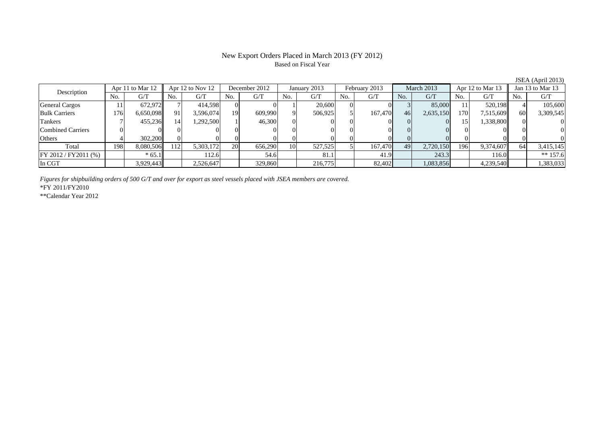# New Export Orders Placed in March 2013 (FY 2012) Based on Fiscal Year

| Description             | Apr 11 to Mar 12 |           | Apr $12$ to Nov $12$ |           | December 2012 |         | January 2013    |         | February 2013 |         | March 2013 |           | Apr 12 to Mar 13 |           | Jan 13 to Mar 13 |            |
|-------------------------|------------------|-----------|----------------------|-----------|---------------|---------|-----------------|---------|---------------|---------|------------|-----------|------------------|-----------|------------------|------------|
|                         | No.              | G/T       | No.                  | G/T       | No.           | G/T     | No.             | G/T     | No.           | G/T     | No.        | G/T       | No.              | G/T       | No.              | G/T        |
| <b>General Cargos</b>   |                  | 672.972   |                      | 414,598   |               |         |                 | 20,600  |               |         |            | 85,000    |                  | 520.198   |                  | 105,600    |
| <b>Bulk Carriers</b>    | 176              | 6,650,098 | 91                   | 3,596,074 | 19            | 609,990 | 9.              | 506,925 |               | 167,470 | 46         | 2,635,150 | 170              | 7,515,609 | <sup>60</sup>    | 3,309,545  |
| Tankers                 |                  | 455,236   |                      | 1,292,500 |               | 46,300  | 0.              |         |               |         |            |           |                  | 1,338,800 |                  |            |
| Combined Carriers       |                  |           |                      |           |               |         |                 |         |               |         |            |           |                  |           |                  |            |
| <b>Others</b>           |                  | 302,200   |                      |           |               |         |                 |         |               |         |            |           |                  |           |                  |            |
| Total                   | 198              | 8,080,506 | 112                  | 5,303,172 | <b>20</b>     | 656,290 | 10 <sup> </sup> | 527,525 |               | 167,470 | 49         | 2,720,150 | 196              | 9,374,607 | 64               | 3,415,145  |
| $FY 2012 / FY 2011$ (%) |                  | $*65.1$   |                      | 112.6     |               | 54.6    |                 | 81.1    |               | 41.9    |            | 243.3     |                  | 116.0     |                  | ** $157.6$ |
| In CGT                  |                  | 3,929,443 |                      | 2,526,647 |               | 329,860 |                 | 216,775 |               | 82,402  |            | 1,083,856 |                  | 4,239,540 |                  | 1,383,033  |

*Figures for shipbuilding orders of 500 G/T and over for export as steel vessels placed with JSEA members are covered.*

\*FY 2011/FY2010

\*\*Calendar Year 2012

JSEA (April 2013)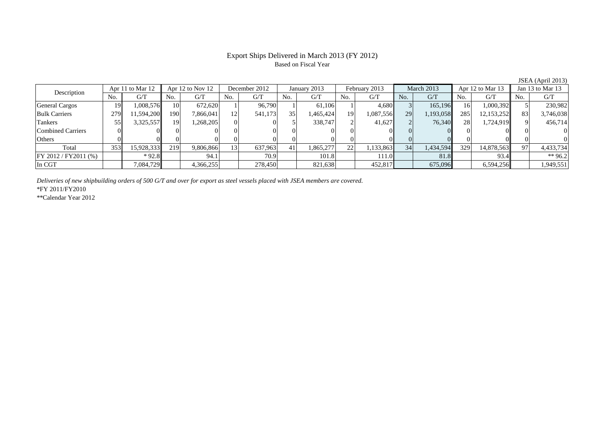# Export Ships Delivered in March 2013 (FY 2012) Based on Fiscal Year

No. G/T No. G/T No. G/T No. G/T No. G/T No. G/T No. G/T No. G/T $G/T$ General Cargos ( 19 1,008,576 10 672,620 1 96,790 1 61,106 1 4,680 3 165,196 16 1,000,392 5 230,982 Bulk Carriers | 279 11,594,200 190 7,866,041 12 541,173 35 1,465,424 19 1,087,556 29 1,193,058 285 12,153,252 83 3,746,038 Tankers | 55| 3,325,557|| 19| 1,268,205| 0| 5| 338,747| 2| 41,627| 2| 76,340| 28| 1,724,919|| 9| 456,714 Combined Carriers 0 0 0 0 0 0 0 0 0 0 0 0 0 0 0 0Others 0 0 0 0 0 0 0 0 0 0 0 0 0 0 0 0Total 353 15,928,333 219 9,806,866 13 637,963 41 1,865,277 22 1,133,863 34 1,434,594 329 14,878,563 97 4,433,734 FY 2012 / FY2011 (%) \* 92.8 94.1 70.9 101.8 101.8 111.0 81.8 93.4 \*\* 96.2 In CGT | | 7,084,729|| | 4,366,255| | 278,450| | 821,638| | 452,817| | 675,096| | 6,594,256|| | 1,949,551 Description Apr 11 to Mar 12 Apr 12 to Nov 12 December 2012 January 2013 February 2013 March 2013 Apr 12 to Mar 13 Jan 13 to Mar 13

*Deliveries of new shipbuilding orders of 500 G/T and over for export as steel vessels placed with JSEA members are covered.*

\*FY 2011/FY2010

\*\*Calendar Year 2012

JSEA (April 2013)